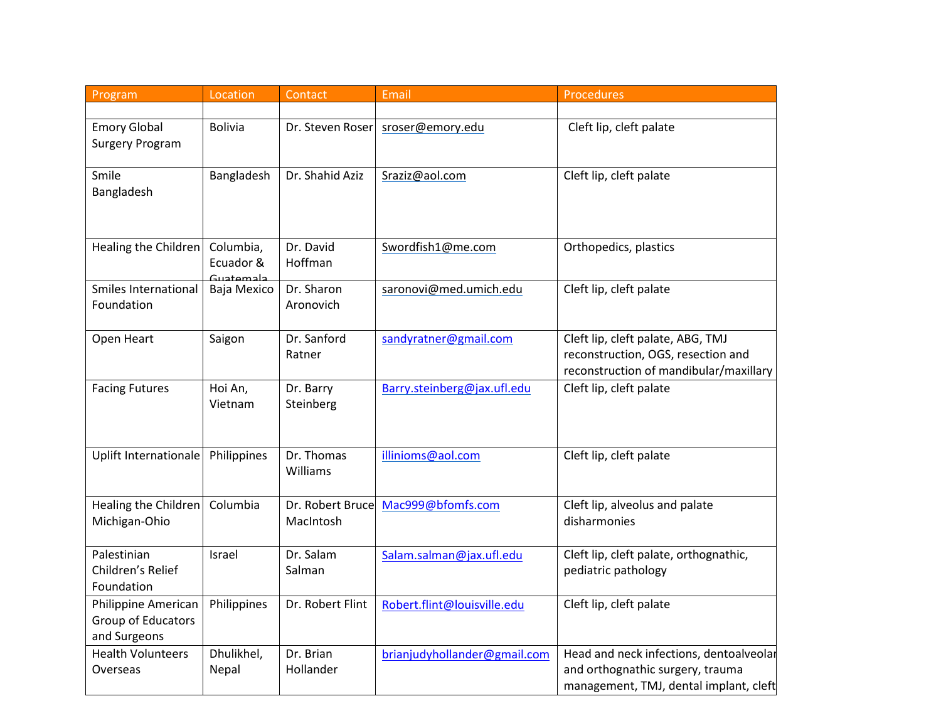| Program                     | Location               | Contact          | Email                        | Procedures                              |
|-----------------------------|------------------------|------------------|------------------------------|-----------------------------------------|
|                             |                        |                  |                              |                                         |
| <b>Emory Global</b>         | <b>Bolivia</b>         | Dr. Steven Roser | sroser@emory.edu             | Cleft lip, cleft palate                 |
| <b>Surgery Program</b>      |                        |                  |                              |                                         |
|                             |                        |                  |                              |                                         |
| Smile                       | Bangladesh             | Dr. Shahid Aziz  | Sraziz@aol.com               | Cleft lip, cleft palate                 |
| Bangladesh                  |                        |                  |                              |                                         |
|                             |                        |                  |                              |                                         |
|                             |                        |                  |                              |                                         |
| Healing the Children        | Columbia,              | Dr. David        | Swordfish1@me.com            | Orthopedics, plastics                   |
|                             | Ecuador &<br>Guatamala | Hoffman          |                              |                                         |
| <b>Smiles International</b> | Baja Mexico            | Dr. Sharon       | saronovi@med.umich.edu       | Cleft lip, cleft palate                 |
| Foundation                  |                        | Aronovich        |                              |                                         |
|                             |                        |                  |                              |                                         |
| Open Heart                  | Saigon                 | Dr. Sanford      | sandyratner@gmail.com        | Cleft lip, cleft palate, ABG, TMJ       |
|                             |                        | Ratner           |                              | reconstruction, OGS, resection and      |
|                             |                        |                  |                              | reconstruction of mandibular/maxillary  |
| <b>Facing Futures</b>       | Hoi An,                | Dr. Barry        | Barry.steinberg@jax.ufl.edu  | Cleft lip, cleft palate                 |
|                             | Vietnam                | Steinberg        |                              |                                         |
|                             |                        |                  |                              |                                         |
| Uplift Internationale       | Philippines            | Dr. Thomas       | illinioms@aol.com            | Cleft lip, cleft palate                 |
|                             |                        | Williams         |                              |                                         |
|                             |                        |                  |                              |                                         |
| Healing the Children        | Columbia               | Dr. Robert Bruce | Mac999@bfomfs.com            | Cleft lip, alveolus and palate          |
| Michigan-Ohio               |                        | MacIntosh        |                              | disharmonies                            |
|                             |                        |                  |                              |                                         |
| Palestinian                 | Israel                 | Dr. Salam        | Salam.salman@jax.ufl.edu     | Cleft lip, cleft palate, orthognathic,  |
| Children's Relief           |                        | Salman           |                              | pediatric pathology                     |
| Foundation                  |                        |                  |                              |                                         |
| Philippine American         | Philippines            | Dr. Robert Flint | Robert.flint@louisville.edu  | Cleft lip, cleft palate                 |
| Group of Educators          |                        |                  |                              |                                         |
| and Surgeons                |                        |                  |                              |                                         |
| <b>Health Volunteers</b>    | Dhulikhel,             | Dr. Brian        | brianjudyhollander@gmail.com | Head and neck infections, dentoalveolar |
| Overseas                    | Nepal                  | Hollander        |                              | and orthognathic surgery, trauma        |
|                             |                        |                  |                              | management, TMJ, dental implant, cleft  |